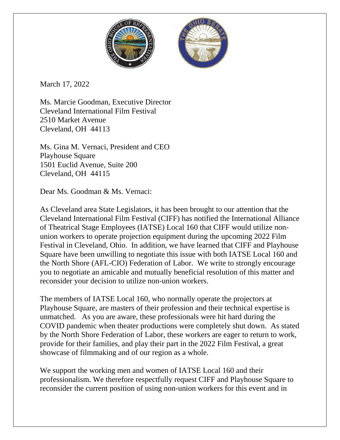

March 17, 2022

Ms. Marcie Goodman, Executive Director Cleveland International Film Festival 2510 Market Avenue Cleveland, OH 44113

Ms. Gina M. Vernaci, President and CEO Playhouse Square 1501 Euclid Avenue, Suite 200 Cleveland, OH 44115

Dear Ms. Goodman & Ms. Vernaci:

As Cleveland area State Legislators, it has been brought to our attention that the Cleveland International Film Festival (CIFF) has notified the International Alliance of Theatrical Stage Employees (IATSE) Local 160 that CIFF would utilize nonunion workers to operate projection equipment during the upcoming 2022 Film Festival in Cleveland, Ohio. In addition, we have learned that CIFF and Playhouse Square have been unwilling to negotiate this issue with both IATSE Local 160 and the North Shore (AFL-CIO) Federation of Labor. We write to strongly encourage you to negotiate an amicable and mutually beneficial resolution of this matter and reconsider your decision to utilize non-union workers.

The members of IATSE Local 160, who normally operate the projectors at Playhouse Square, are masters of their profession and their technical expertise is unmatched. As you are aware, these professionals were hit hard during the COVID pandemic when theater productions were completely shut down. As stated by the North Shore Federation of Labor, these workers are eager to return to work, provide for their families, and play their part in the 2022 Film Festival, a great showcase of filmmaking and of our region as a whole.

We support the working men and women of IATSE Local 160 and their professionalism. We therefore respectfully request CIFF and Playhouse Square to reconsider the current position of using non-union workers for this event and in